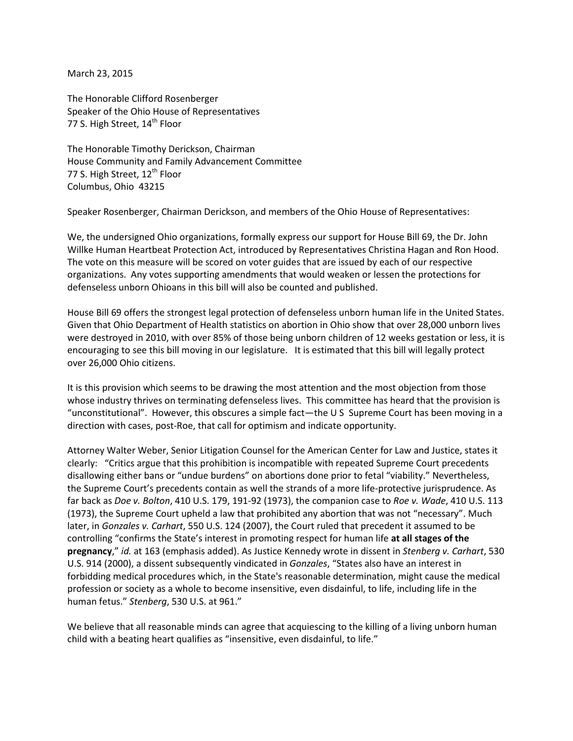March 23, 2015

The Honorable Clifford Rosenberger Speaker of the Ohio House of Representatives 77 S. High Street, 14<sup>th</sup> Floor

The Honorable Timothy Derickson, Chairman House Community and Family Advancement Committee 77 S. High Street, 12<sup>th</sup> Floor Columbus, Ohio 43215

Speaker Rosenberger, Chairman Derickson, and members of the Ohio House of Representatives:

We, the undersigned Ohio organizations, formally express our support for House Bill 69, the Dr. John Willke Human Heartbeat Protection Act, introduced by Representatives Christina Hagan and Ron Hood. The vote on this measure will be scored on voter guides that are issued by each of our respective organizations. Any votes supporting amendments that would weaken or lessen the protections for defenseless unborn Ohioans in this bill will also be counted and published.

House Bill 69 offers the strongest legal protection of defenseless unborn human life in the United States. Given that Ohio Department of Health statistics on abortion in Ohio show that over 28,000 unborn lives were destroyed in 2010, with over 85% of those being unborn children of 12 weeks gestation or less, it is encouraging to see this bill moving in our legislature. It is estimated that this bill will legally protect over 26,000 Ohio citizens.

It is this provision which seems to be drawing the most attention and the most objection from those whose industry thrives on terminating defenseless lives. This committee has heard that the provision is "unconstitutional". However, this obscures a simple fact—the U S Supreme Court has been moving in a direction with cases, post-Roe, that call for optimism and indicate opportunity.

Attorney Walter Weber, Senior Litigation Counsel for the American Center for Law and Justice, states it clearly: "Critics argue that this prohibition is incompatible with repeated Supreme Court precedents disallowing either bans or "undue burdens" on abortions done prior to fetal "viability." Nevertheless, the Supreme Court's precedents contain as well the strands of a more life-protective jurisprudence. As far back as *Doe v. Bolton*, 410 U.S. 179, 191-92 (1973), the companion case to *Roe v. Wade*, 410 U.S. 113 (1973), the Supreme Court upheld a law that prohibited any abortion that was not "necessary". Much later, in *Gonzales v. Carhart*, 550 U.S. 124 (2007), the Court ruled that precedent it assumed to be controlling "confirms the State's interest in promoting respect for human life **at all stages of the pregnancy**," *id.* at 163 (emphasis added). As Justice Kennedy wrote in dissent in *Stenberg v. Carhart*, 530 U.S. 914 (2000), a dissent subsequently vindicated in *Gonzales*, "States also have an interest in forbidding medical procedures which, in the State's reasonable determination, might cause the medical profession or society as a whole to become insensitive, even disdainful, to life, including life in the human fetus." *Stenberg*, 530 U.S. at 961."

We believe that all reasonable minds can agree that acquiescing to the killing of a living unborn human child with a beating heart qualifies as "insensitive, even disdainful, to life."